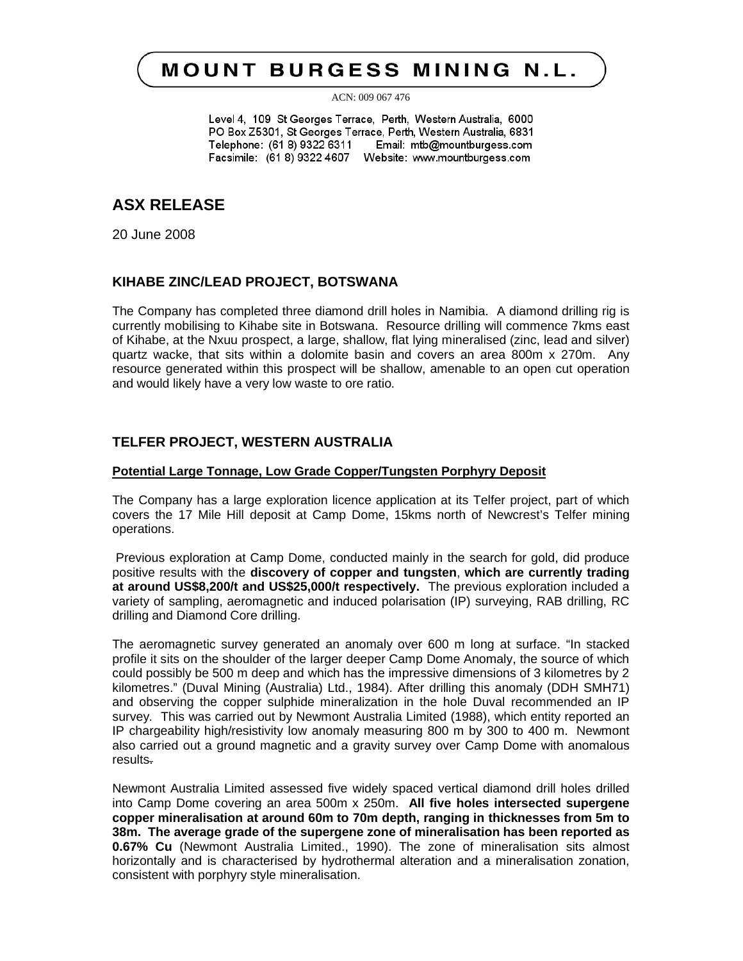# **MOUNT BURGESS MINING N.L.**

ACN: 009 067 476

Level 4, 109 St Georges Terrace, Perth, Western Australia, 6000 PO Box Z5301, St Georges Terrace, Perth, Western Australia, 6831 Telephone: (61 8) 9322 6311 Email: mtb@mountburgess.com Facsimile: (61 8) 9322 4607 Website: www.mountburgess.com

## **ASX RELEASE**

20 June 2008

### **KIHABE ZINC/LEAD PROJECT, BOTSWANA**

The Company has completed three diamond drill holes in Namibia. A diamond drilling rig is currently mobilising to Kihabe site in Botswana. Resource drilling will commence 7kms east of Kihabe, at the Nxuu prospect, a large, shallow, flat lying mineralised (zinc, lead and silver) quartz wacke, that sits within a dolomite basin and covers an area 800m x 270m. Any resource generated within this prospect will be shallow, amenable to an open cut operation and would likely have a very low waste to ore ratio.

### **TELFER PROJECT, WESTERN AUSTRALIA**

#### **Potential Large Tonnage, Low Grade Copper/Tungsten Porphyry Deposit**

The Company has a large exploration licence application at its Telfer project, part of which covers the 17 Mile Hill deposit at Camp Dome, 15kms north of Newcrest's Telfer mining operations.

Previous exploration at Camp Dome, conducted mainly in the search for gold, did produce positive results with the **discovery of copper and tungsten**, **which are currently trading at around US\$8,200/t and US\$25,000/t respectively.** The previous exploration included a variety of sampling, aeromagnetic and induced polarisation (IP) surveying, RAB drilling, RC drilling and Diamond Core drilling.

The aeromagnetic survey generated an anomaly over 600 m long at surface. "In stacked profile it sits on the shoulder of the larger deeper Camp Dome Anomaly, the source of which could possibly be 500 m deep and which has the impressive dimensions of 3 kilometres by 2 kilometres." (Duval Mining (Australia) Ltd., 1984). After drilling this anomaly (DDH SMH71) and observing the copper sulphide mineralization in the hole Duval recommended an IP survey. This was carried out by Newmont Australia Limited (1988), which entity reported an IP chargeability high/resistivity low anomaly measuring 800 m by 300 to 400 m. Newmont also carried out a ground magnetic and a gravity survey over Camp Dome with anomalous results.

Newmont Australia Limited assessed five widely spaced vertical diamond drill holes drilled into Camp Dome covering an area 500m x 250m. **All five holes intersected supergene copper mineralisation at around 60m to 70m depth, ranging in thicknesses from 5m to 38m. The average grade of the supergene zone of mineralisation has been reported as 0.67% Cu** (Newmont Australia Limited., 1990). The zone of mineralisation sits almost horizontally and is characterised by hydrothermal alteration and a mineralisation zonation, consistent with porphyry style mineralisation.